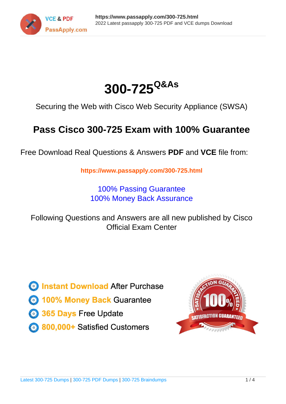



Securing the Web with Cisco Web Security Appliance (SWSA)

# **Pass Cisco 300-725 Exam with 100% Guarantee**

Free Download Real Questions & Answers **PDF** and **VCE** file from:

**https://www.passapply.com/300-725.html**

100% Passing Guarantee 100% Money Back Assurance

Following Questions and Answers are all new published by Cisco Official Exam Center

**C** Instant Download After Purchase

**83 100% Money Back Guarantee** 

- 365 Days Free Update
- 800,000+ Satisfied Customers

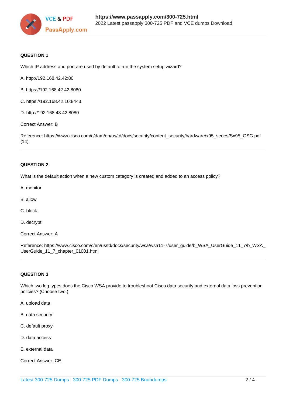

### **QUESTION 1**

Which IP address and port are used by default to run the system setup wizard?

- A. http://192.168.42.42:80
- B. https://192.168.42.42:8080
- C. https://192.168.42.10:8443
- D. http://192.168.43.42:8080

Correct Answer: B

Reference: https://www.cisco.com/c/dam/en/us/td/docs/security/content\_security/hardware/x95\_series/Sx95\_GSG.pdf  $(14)$ 

### **QUESTION 2**

What is the default action when a new custom category is created and added to an access policy?

- A. monitor
- B. allow
- C. block
- D. decrypt
- Correct Answer: A

Reference: https://www.cisco.com/c/en/us/td/docs/security/wsa/wsa11-7/user\_guide/b\_WSA\_UserGuide\_11\_7/b\_WSA\_ UserGuide\_11\_7\_chapter\_01001.html

### **QUESTION 3**

Which two log types does the Cisco WSA provide to troubleshoot Cisco data security and external data loss prevention policies? (Choose two.)

- A. upload data
- B. data security
- C. default proxy
- D. data access
- E. external data
- Correct Answer: CE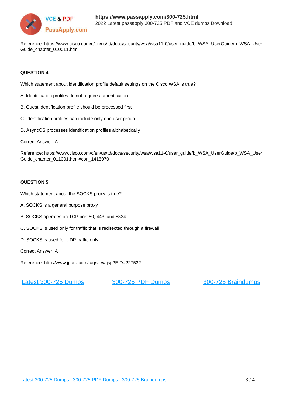

Reference: https://www.cisco.com/c/en/us/td/docs/security/wsa/wsa11-0/user\_guide/b\_WSA\_UserGuide/b\_WSA\_User Guide\_chapter\_010011.html

### **QUESTION 4**

Which statement about identification profile default settings on the Cisco WSA is true?

- A. Identification profiles do not require authentication
- B. Guest identification profile should be processed first
- C. Identification profiles can include only one user group
- D. AsyncOS processes identification profiles alphabetically
- Correct Answer: A

Reference: https://www.cisco.com/c/en/us/td/docs/security/wsa/wsa11-0/user\_guide/b\_WSA\_UserGuide/b\_WSA\_User Guide\_chapter\_011001.html#con\_1415970

### **QUESTION 5**

Which statement about the SOCKS proxy is true?

- A. SOCKS is a general purpose proxy
- B. SOCKS operates on TCP port 80, 443, and 8334
- C. SOCKS is used only for traffic that is redirected through a firewall
- D. SOCKS is used for UDP traffic only
- Correct Answer: A

Reference: http://www.jguru.com/faq/view.jsp?EID=227532

[Latest 300-725 Dumps](https://www.passapply.com/300-725.html) [300-725 PDF Dumps](https://www.passapply.com/300-725.html) [300-725 Braindumps](https://www.passapply.com/300-725.html)